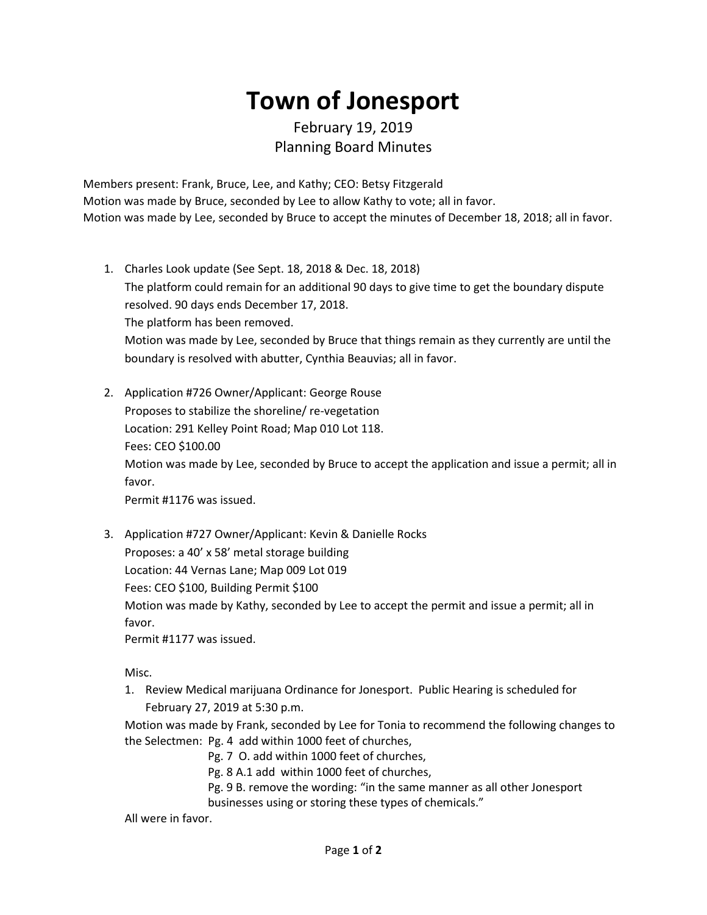## **Town of Jonesport**

## February 19, 2019 Planning Board Minutes

Members present: Frank, Bruce, Lee, and Kathy; CEO: Betsy Fitzgerald Motion was made by Bruce, seconded by Lee to allow Kathy to vote; all in favor. Motion was made by Lee, seconded by Bruce to accept the minutes of December 18, 2018; all in favor.

- 1. Charles Look update (See Sept. 18, 2018 & Dec. 18, 2018) The platform could remain for an additional 90 days to give time to get the boundary dispute resolved. 90 days ends December 17, 2018. The platform has been removed. Motion was made by Lee, seconded by Bruce that things remain as they currently are until the boundary is resolved with abutter, Cynthia Beauvias; all in favor.
- 2. Application #726 Owner/Applicant: George Rouse Proposes to stabilize the shoreline/ re-vegetation Location: 291 Kelley Point Road; Map 010 Lot 118. Fees: CEO \$100.00 Motion was made by Lee, seconded by Bruce to accept the application and issue a permit; all in favor. Permit #1176 was issued.
- 3. Application #727 Owner/Applicant: Kevin & Danielle Rocks

Proposes: a 40' x 58' metal storage building

Location: 44 Vernas Lane; Map 009 Lot 019

Fees: CEO \$100, Building Permit \$100

Motion was made by Kathy, seconded by Lee to accept the permit and issue a permit; all in favor.

Permit #1177 was issued.

Misc.

1. Review Medical marijuana Ordinance for Jonesport. Public Hearing is scheduled for February 27, 2019 at 5:30 p.m.

Motion was made by Frank, seconded by Lee for Tonia to recommend the following changes to the Selectmen: Pg. 4 add within 1000 feet of churches,

- Pg. 7 O. add within 1000 feet of churches,
- Pg. 8 A.1 add within 1000 feet of churches,
- Pg. 9 B. remove the wording: "in the same manner as all other Jonesport businesses using or storing these types of chemicals."

All were in favor.